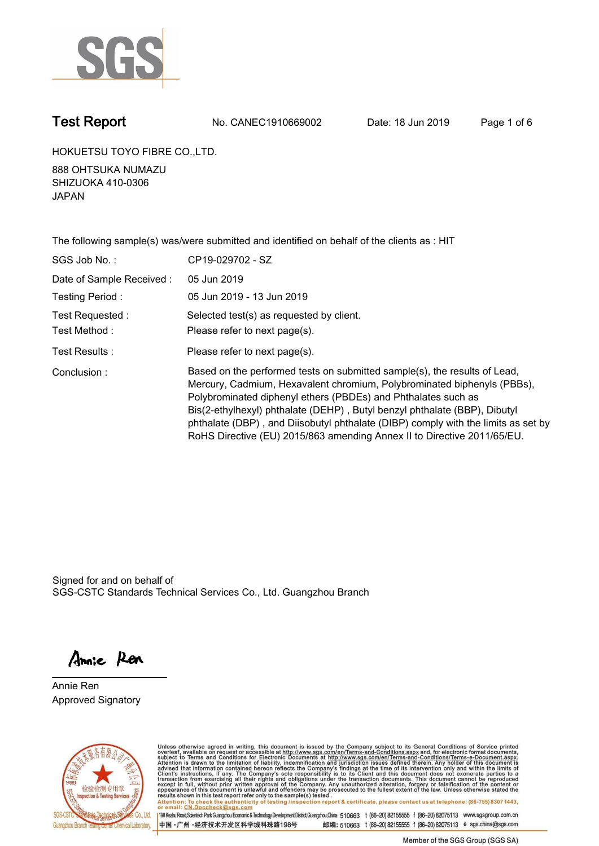

**Test Report. No. CANEC1910669002 Date: 18 Jun 2019. Page 1 of 6.**

**HOKUETSU TOYO FIBRE CO.,LTD..**

**888 OHTSUKA NUMAZU SHIZUOKA 410-0306 JAPAN.**

| The following sample(s) was/were submitted and identified on behalf of the clients as : HIT |                                                                                                                                                                                                                                                                                                                                                                                                                                                                    |  |  |  |  |
|---------------------------------------------------------------------------------------------|--------------------------------------------------------------------------------------------------------------------------------------------------------------------------------------------------------------------------------------------------------------------------------------------------------------------------------------------------------------------------------------------------------------------------------------------------------------------|--|--|--|--|
| SGS Job No.:                                                                                | CP19-029702 - SZ                                                                                                                                                                                                                                                                                                                                                                                                                                                   |  |  |  |  |
| Date of Sample Received:                                                                    | 05 Jun 2019                                                                                                                                                                                                                                                                                                                                                                                                                                                        |  |  |  |  |
| Testing Period:                                                                             | 05 Jun 2019 - 13 Jun 2019                                                                                                                                                                                                                                                                                                                                                                                                                                          |  |  |  |  |
| Test Requested:                                                                             | Selected test(s) as requested by client.                                                                                                                                                                                                                                                                                                                                                                                                                           |  |  |  |  |
| Test Method:                                                                                | Please refer to next page(s).                                                                                                                                                                                                                                                                                                                                                                                                                                      |  |  |  |  |
| Test Results :                                                                              | Please refer to next page(s).                                                                                                                                                                                                                                                                                                                                                                                                                                      |  |  |  |  |
| Conclusion:                                                                                 | Based on the performed tests on submitted sample(s), the results of Lead,<br>Mercury, Cadmium, Hexavalent chromium, Polybrominated biphenyls (PBBs),<br>Polybrominated diphenyl ethers (PBDEs) and Phthalates such as<br>Bis(2-ethylhexyl) phthalate (DEHP), Butyl benzyl phthalate (BBP), Dibutyl<br>phthalate (DBP), and Diisobutyl phthalate (DIBP) comply with the limits as set by<br>RoHS Directive (EU) 2015/863 amending Annex II to Directive 2011/65/EU. |  |  |  |  |

Signed for and on behalf of SGS-CSTC Standards Technical Services Co., Ltd. Guangzhou Branch.

Annie Ren

**Annie Ren. Approved Signatory.**



Unless otherwise agreed in writing, this document is issued by the Company subject to its General Conditions of Service printed<br>overleaf, available on request or accessible at http://www.sgs.com/en/Terms-and-Conditions.asp results shown in this test report refer only to the sample(s) tested .<br>Attention: To check the authenticity of testing /inspection report & certificate, please contact us at telephone: (86-755) 8307 1443,<br>or email: <u>CN.Doc</u>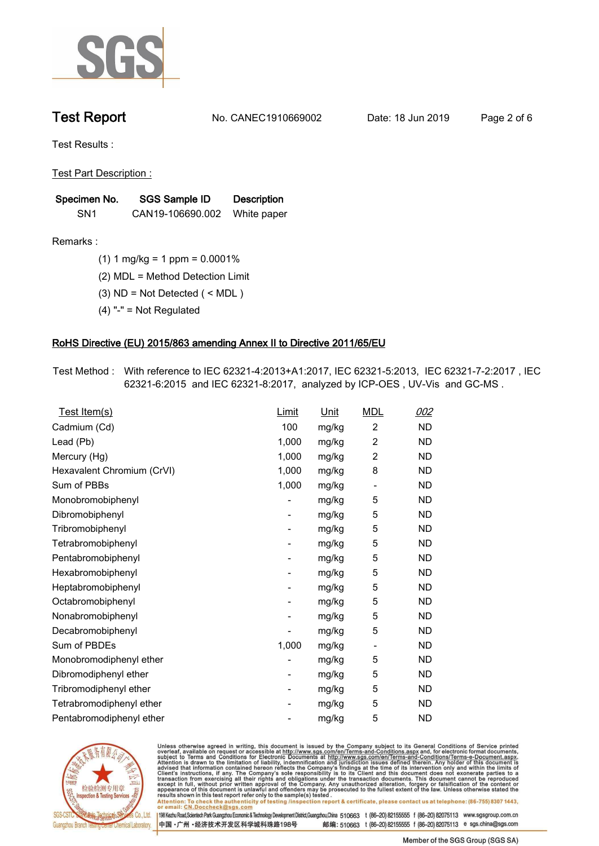

**Test Report. No. CANEC1910669002 Date: 18 Jun 2019. Page 2 of 6.**

**Test Results :.**

**Test Part Description :.**

| Specimen No.    | SGS Sample ID    | <b>Description</b> |  |
|-----------------|------------------|--------------------|--|
| SN <sub>1</sub> | CAN19-106690.002 | White paper        |  |

**Remarks :.(1) 1 mg/kg = 1 ppm = 0.0001%.**

**(2) MDL = Method Detection Limit.**

**(3) ND = Not Detected ( < MDL ).**

**(4) "-" = Not Regulated.**

### **RoHS Directive (EU) 2015/863 amending Annex II to Directive 2011/65/EU.**

**Test Method :. With reference to IEC 62321-4:2013+A1:2017, IEC 62321-5:2013, IEC 62321-7-2:2017 , IEC 62321-6:2015 and IEC 62321-8:2017, analyzed by ICP-OES , UV-Vis and GC-MS ..**

| Test Item(s)               | <u>Limit</u> | <u>Unit</u> | <b>MDL</b>               | <u>002</u> |
|----------------------------|--------------|-------------|--------------------------|------------|
| Cadmium (Cd)               | 100          | mg/kg       | $\overline{c}$           | <b>ND</b>  |
| Lead (Pb)                  | 1,000        | mg/kg       | $\overline{c}$           | <b>ND</b>  |
| Mercury (Hg)               | 1,000        | mg/kg       | 2                        | <b>ND</b>  |
| Hexavalent Chromium (CrVI) | 1,000        | mg/kg       | 8                        | <b>ND</b>  |
| Sum of PBBs                | 1,000        | mg/kg       | $\overline{\phantom{a}}$ | <b>ND</b>  |
| Monobromobiphenyl          |              | mg/kg       | 5                        | <b>ND</b>  |
| Dibromobiphenyl            | -            | mg/kg       | 5                        | <b>ND</b>  |
| Tribromobiphenyl           | -            | mg/kg       | 5                        | <b>ND</b>  |
| Tetrabromobiphenyl         |              | mg/kg       | 5                        | <b>ND</b>  |
| Pentabromobiphenyl         | -            | mg/kg       | 5                        | <b>ND</b>  |
| Hexabromobiphenyl          |              | mg/kg       | 5                        | ND         |
| Heptabromobiphenyl         | ۰            | mg/kg       | 5                        | <b>ND</b>  |
| Octabromobiphenyl          |              | mg/kg       | 5                        | <b>ND</b>  |
| Nonabromobiphenyl          |              | mg/kg       | 5                        | <b>ND</b>  |
| Decabromobiphenyl          |              | mg/kg       | 5                        | <b>ND</b>  |
| Sum of PBDEs               | 1,000        | mg/kg       | $\overline{\phantom{a}}$ | <b>ND</b>  |
| Monobromodiphenyl ether    |              | mg/kg       | 5                        | <b>ND</b>  |
| Dibromodiphenyl ether      | -            | mg/kg       | 5                        | <b>ND</b>  |
| Tribromodiphenyl ether     | -            | mg/kg       | 5                        | <b>ND</b>  |
| Tetrabromodiphenyl ether   |              | mg/kg       | 5                        | <b>ND</b>  |
| Pentabromodiphenyl ether   |              | mg/kg       | 5                        | <b>ND</b>  |
|                            |              |             |                          |            |



Unless otherwise agreed in writing, this document is issued by the Company subject to its General Conditions of Service printed<br>overleaf, available on request or accessible at http://www.sgs.com/en/Terms-and-Conditions.asp Attention: To check the authenticity of testing /inspection report & certificate, please contact us at telephone: (86-755) 8307 1443,<br>Attention: To check the authenticity of testing /inspection report & certificate, please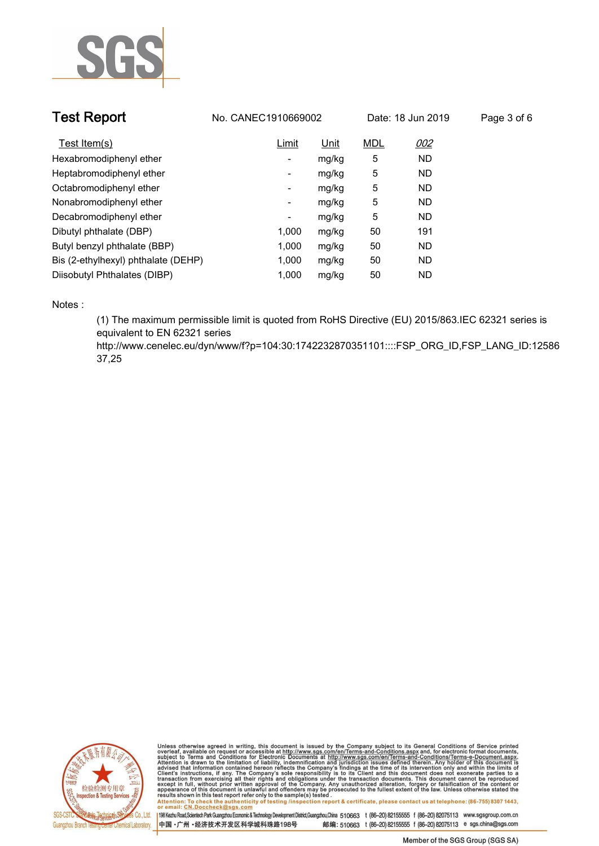

| <b>Test Report</b>                  | No. CANEC1910669002 |             | Date: 18 Jun 2019 |           | Page 3 of 6 |
|-------------------------------------|---------------------|-------------|-------------------|-----------|-------------|
| Test Item(s)                        | Limit               | <u>Unit</u> | <b>MDL</b>        | 002       |             |
| Hexabromodiphenyl ether             | ٠                   | mg/kg       | 5                 | <b>ND</b> |             |
| Heptabromodiphenyl ether            | ٠                   | mg/kg       | 5                 | <b>ND</b> |             |
| Octabromodiphenyl ether             | Ξ.                  | mg/kg       | 5                 | <b>ND</b> |             |
| Nonabromodiphenyl ether             | Ξ.                  | mg/kg       | 5                 | <b>ND</b> |             |
| Decabromodiphenyl ether             | -                   | mg/kg       | 5                 | <b>ND</b> |             |
| Dibutyl phthalate (DBP)             | 1.000               | mg/kg       | 50                | 191       |             |
| Butyl benzyl phthalate (BBP)        | 1,000               | mg/kg       | 50                | <b>ND</b> |             |
| Bis (2-ethylhexyl) phthalate (DEHP) | 1,000               | mg/kg       | 50                | <b>ND</b> |             |
| Diisobutyl Phthalates (DIBP)        | 1.000               | mg/kg       | 50                | ND.       |             |

**Notes :.**

**(1) The maximum permissible limit is quoted from RoHS Directive (EU) 2015/863.IEC 62321 series is equivalent to EN 62321 series** 

**http://www.cenelec.eu/dyn/www/f?p=104:30:1742232870351101::::FSP\_ORG\_ID,FSP\_LANG\_ID:12586 37,25.**



Unless otherwise agreed in writing, this document is issued by the Company subject to its General Conditions of Service printed<br>overleaf, available on request or accessible at http://www.sgs.com/en/Terms-and-Conditions.asp Attention: To check the authenticity of testing /inspection report & certificate, please contact us at telephone: (86-755) 8307 1443,<br>Attention: To check the authenticity of testing /inspection report & certificate, please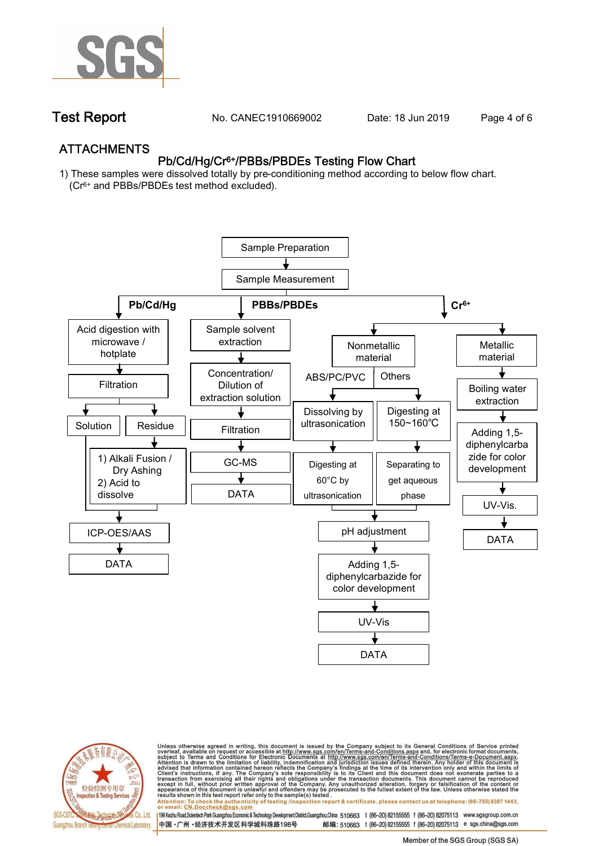

**Test Report. No. CANEC1910669002 Date: 18 Jun 2019. Page 4 of 6.**

## **ATTACHMENTS Pb/Cd/Hg/Cr6+/PBBs/PBDEs Testing Flow Chart**

**1) These samples were dissolved totally by pre-conditioning method according to below flow chart. (Cr6+ and PBBs/PBDEs test method excluded).**





Unless otherwise agreed in writing, this document is issued by the Company subject to its General Conditions of Service printed<br>overleaf, available on request or accessible at http://www.sgs.com/en/Terms-and-Conditions.asp résults shown in this test report refer only to the sample(s) tésted .<br>Attention: To check the authenticity of testing /inspection report & certificate, please contact us at telephone: (86-755) 8307 1443,<br>or email: <u>CN.Doc</u>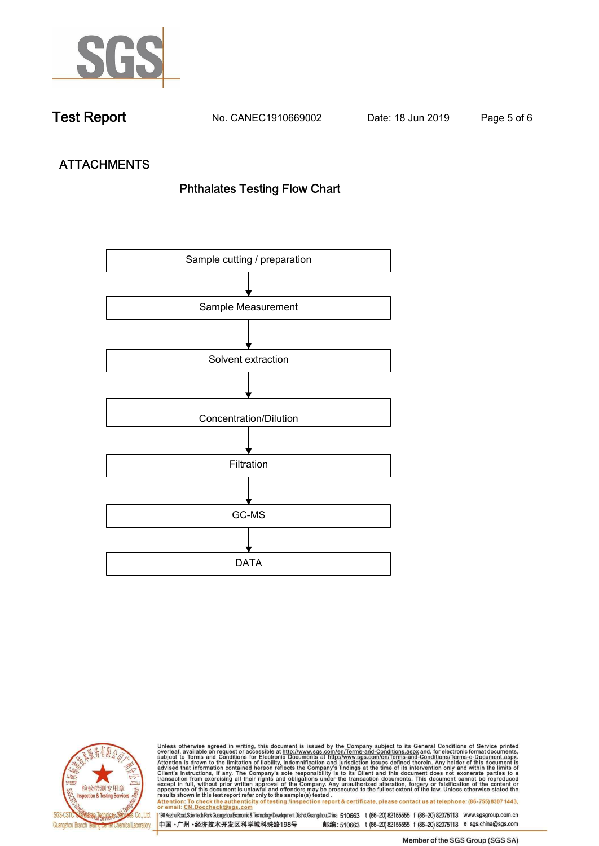

**Test Report. No. CANEC1910669002 Date: 18 Jun 2019. Page 5 of 6.**

# **ATTACHMENTS Phthalates Testing Flow Chart**





Unless otherwise agreed in writing, this document is issued by the Company subject to its General Conditions of Service printed<br>overleaf, available on request or accessible at http://www.sgs.com/en/Terms-and-Conditions.asp results shown in this test report refer only to the sample(s) tested .<br>Attention: To check the authenticity of testing /inspection report & certificate, please contact us at telephone: (86-755) 8307 1443,<br>or email: <u>CN.Doc</u>